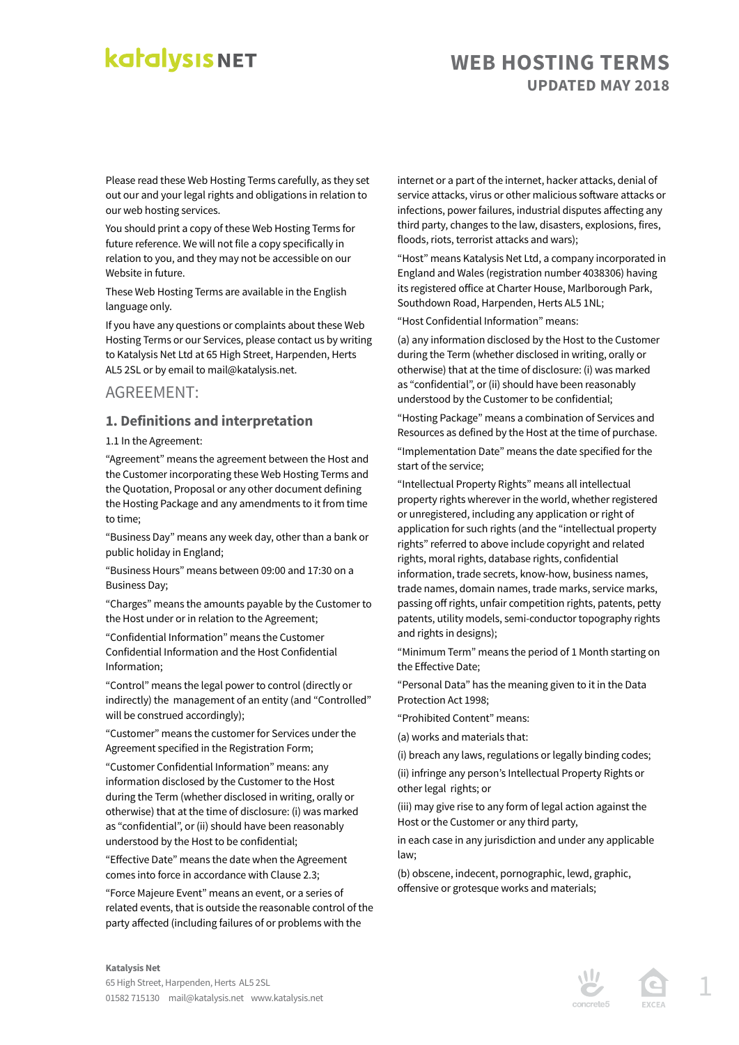### **WEB HOSTING TERMS UPDATED MAY 2018**

Please read these Web Hosting Terms carefully, as they set out our and your legal rights and obligations in relation to our web hosting services.

You should print a copy of these Web Hosting Terms for future reference. We will not file a copy specifically in relation to you, and they may not be accessible on our Website in future.

These Web Hosting Terms are available in the English language only.

If you have any questions or complaints about these Web Hosting Terms or our Services, please contact us by writing to Katalysis Net Ltd at 65 High Street, Harpenden, Herts AL5 2SL or by email to mail@katalysis.net.

### AGREEMENT:

#### **1. Definitions and interpretation**

1.1 In the Agreement:

"Agreement" means the agreement between the Host and the Customer incorporating these Web Hosting Terms and the Quotation, Proposal or any other document defining the Hosting Package and any amendments to it from time to time;

"Business Day" means any week day, other than a bank or public holiday in England;

"Business Hours" means between 09:00 and 17:30 on a Business Day;

"Charges" means the amounts payable by the Customer to the Host under or in relation to the Agreement;

"Confidential Information" means the Customer Confidential Information and the Host Confidential Information;

"Control" means the legal power to control (directly or indirectly) the management of an entity (and "Controlled" will be construed accordingly);

"Customer" means the customer for Services under the Agreement specified in the Registration Form;

"Customer Confidential Information" means: any information disclosed by the Customer to the Host during the Term (whether disclosed in writing, orally or otherwise) that at the time of disclosure: (i) was marked as "confidential", or (ii) should have been reasonably understood by the Host to be confidential;

"Effective Date" means the date when the Agreement comes into force in accordance with Clause 2.3;

"Force Majeure Event" means an event, or a series of related events, that is outside the reasonable control of the party affected (including failures of or problems with the

internet or a part of the internet, hacker attacks, denial of service attacks, virus or other malicious software attacks or infections, power failures, industrial disputes affecting any third party, changes to the law, disasters, explosions, fires, floods, riots, terrorist attacks and wars);

"Host" means Katalysis Net Ltd, a company incorporated in England and Wales (registration number 4038306) having its registered office at Charter House, Marlborough Park, Southdown Road, Harpenden, Herts AL5 1NL;

"Host Confidential Information" means:

(a) any information disclosed by the Host to the Customer during the Term (whether disclosed in writing, orally or otherwise) that at the time of disclosure: (i) was marked as "confidential", or (ii) should have been reasonably understood by the Customer to be confidential;

"Hosting Package" means a combination of Services and Resources as defined by the Host at the time of purchase.

"Implementation Date" means the date specified for the start of the service;

"Intellectual Property Rights" means all intellectual property rights wherever in the world, whether registered or unregistered, including any application or right of application for such rights (and the "intellectual property rights" referred to above include copyright and related rights, moral rights, database rights, confidential information, trade secrets, know-how, business names, trade names, domain names, trade marks, service marks, passing off rights, unfair competition rights, patents, petty patents, utility models, semi-conductor topography rights and rights in designs);

"Minimum Term" means the period of 1 Month starting on the Effective Date;

"Personal Data" has the meaning given to it in the Data Protection Act 1998;

"Prohibited Content" means:

(a) works and materials that:

(i) breach any laws, regulations or legally binding codes;

(ii) infringe any person's Intellectual Property Rights or other legal rights; or

(iii) may give rise to any form of legal action against the Host or the Customer or any third party,

in each case in any jurisdiction and under any applicable law;

(b) obscene, indecent, pornographic, lewd, graphic, offensive or grotesque works and materials;





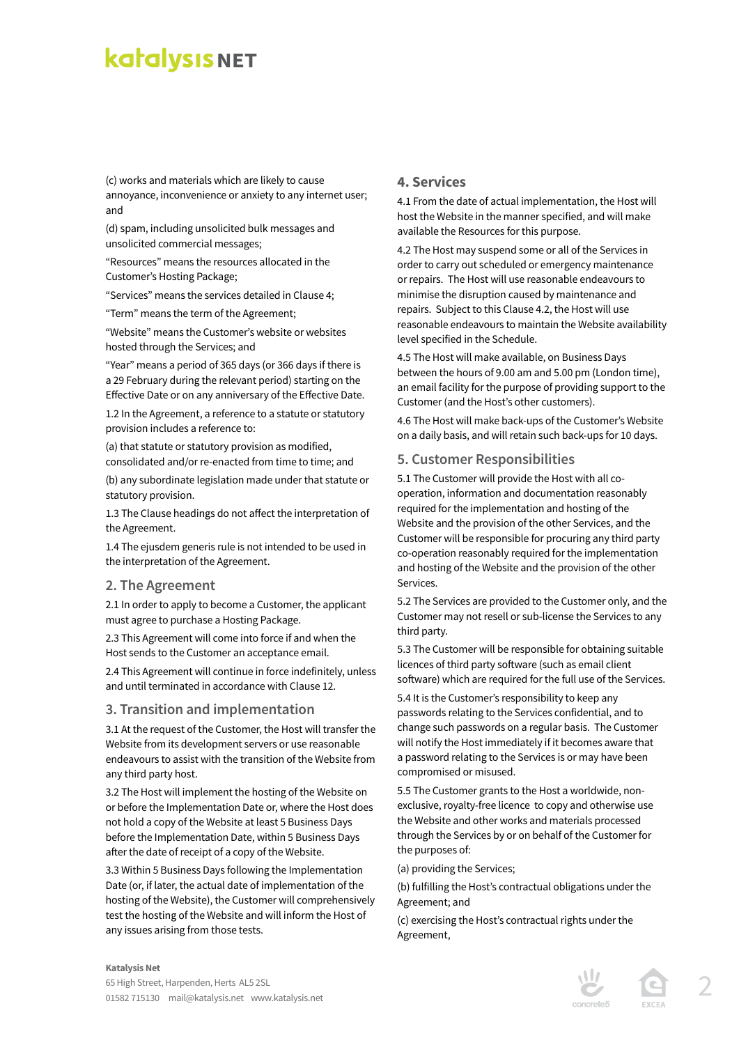(c) works and materials which are likely to cause annoyance, inconvenience or anxiety to any internet user; and

(d) spam, including unsolicited bulk messages and unsolicited commercial messages;

"Resources" means the resources allocated in the Customer's Hosting Package;

"Services" means the services detailed in Clause 4;

"Term" means the term of the Agreement;

"Website" means the Customer's website or websites hosted through the Services; and

"Year" means a period of 365 days (or 366 days if there is a 29 February during the relevant period) starting on the Effective Date or on any anniversary of the Effective Date.

1.2 In the Agreement, a reference to a statute or statutory provision includes a reference to:

(a) that statute or statutory provision as modified, consolidated and/or re-enacted from time to time; and

(b) any subordinate legislation made under that statute or statutory provision.

1.3 The Clause headings do not affect the interpretation of the Agreement.

1.4 The ejusdem generis rule is not intended to be used in the interpretation of the Agreement.

#### **2. The Agreement**

2.1 In order to apply to become a Customer, the applicant must agree to purchase a Hosting Package.

2.3 This Agreement will come into force if and when the Host sends to the Customer an acceptance email.

2.4 This Agreement will continue in force indefinitely, unless and until terminated in accordance with Clause 12.

#### **3. Transition and implementation**

3.1 At the request of the Customer, the Host will transfer the Website from its development servers or use reasonable endeavours to assist with the transition of the Website from any third party host.

3.2 The Host will implement the hosting of the Website on or before the Implementation Date or, where the Host does not hold a copy of the Website at least 5 Business Days before the Implementation Date, within 5 Business Days after the date of receipt of a copy of the Website.

3.3 Within 5 Business Days following the Implementation Date (or, if later, the actual date of implementation of the hosting of the Website), the Customer will comprehensively test the hosting of the Website and will inform the Host of any issues arising from those tests.

#### **4. Services**

4.1 From the date of actual implementation, the Host will host the Website in the manner specified, and will make available the Resources for this purpose.

4.2 The Host may suspend some or all of the Services in order to carry out scheduled or emergency maintenance or repairs. The Host will use reasonable endeavours to minimise the disruption caused by maintenance and repairs. Subject to this Clause 4.2, the Host will use reasonable endeavours to maintain the Website availability level specified in the Schedule.

4.5 The Host will make available, on Business Days between the hours of 9.00 am and 5.00 pm (London time), an email facility for the purpose of providing support to the Customer (and the Host's other customers).

4.6 The Host will make back-ups of the Customer's Website on a daily basis, and will retain such back-ups for 10 days.

#### **5. Customer Responsibilities**

5.1 The Customer will provide the Host with all cooperation, information and documentation reasonably required for the implementation and hosting of the Website and the provision of the other Services, and the Customer will be responsible for procuring any third party co-operation reasonably required for the implementation and hosting of the Website and the provision of the other Services.

5.2 The Services are provided to the Customer only, and the Customer may not resell or sub-license the Services to any third party.

5.3 The Customer will be responsible for obtaining suitable licences of third party software (such as email client software) which are required for the full use of the Services.

5.4 It is the Customer's responsibility to keep any passwords relating to the Services confidential, and to change such passwords on a regular basis. The Customer will notify the Host immediately if it becomes aware that a password relating to the Services is or may have been compromised or misused.

5.5 The Customer grants to the Host a worldwide, nonexclusive, royalty-free licence to copy and otherwise use the Website and other works and materials processed through the Services by or on behalf of the Customer for the purposes of:

(a) providing the Services;

(b) fulfilling the Host's contractual obligations under the Agreement; and

(c) exercising the Host's contractual rights under the Agreement,



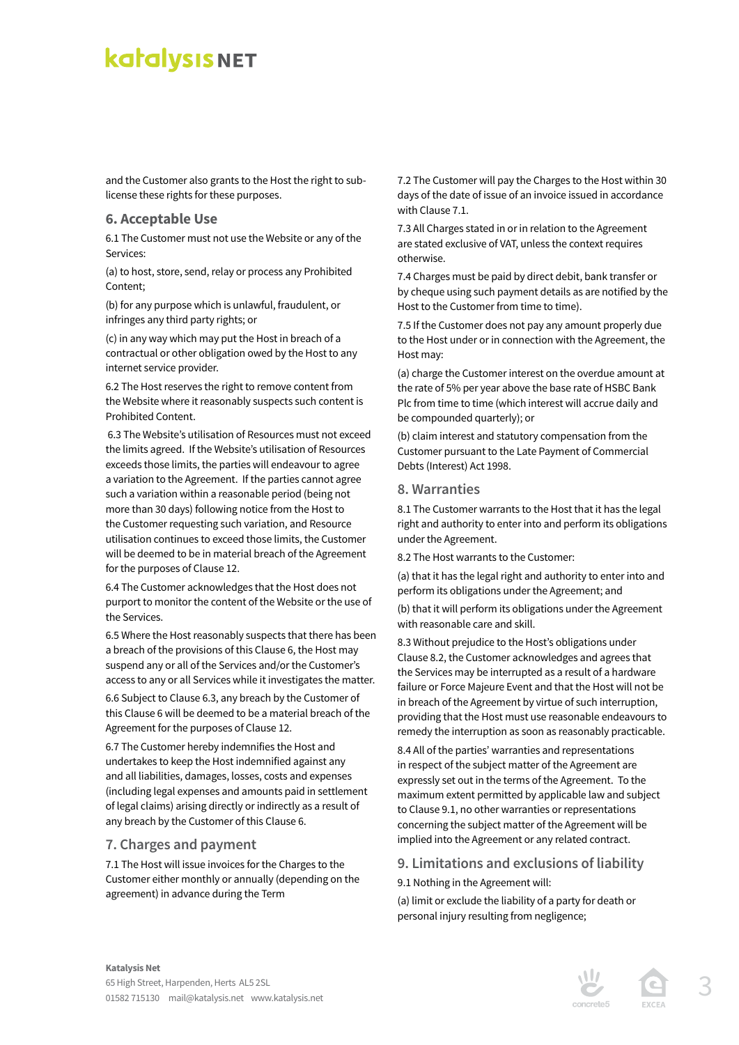and the Customer also grants to the Host the right to sublicense these rights for these purposes.

#### **6. Acceptable Use**

6.1 The Customer must not use the Website or any of the Services:

(a) to host, store, send, relay or process any Prohibited Content;

(b) for any purpose which is unlawful, fraudulent, or infringes any third party rights; or

(c) in any way which may put the Host in breach of a contractual or other obligation owed by the Host to any internet service provider.

6.2 The Host reserves the right to remove content from the Website where it reasonably suspects such content is Prohibited Content.

 6.3 The Website's utilisation of Resources must not exceed the limits agreed. If the Website's utilisation of Resources exceeds those limits, the parties will endeavour to agree a variation to the Agreement. If the parties cannot agree such a variation within a reasonable period (being not more than 30 days) following notice from the Host to the Customer requesting such variation, and Resource utilisation continues to exceed those limits, the Customer will be deemed to be in material breach of the Agreement for the purposes of Clause 12.

6.4 The Customer acknowledges that the Host does not purport to monitor the content of the Website or the use of the Services.

6.5 Where the Host reasonably suspects that there has been a breach of the provisions of this Clause 6, the Host may suspend any or all of the Services and/or the Customer's access to any or all Services while it investigates the matter.

6.6 Subject to Clause 6.3, any breach by the Customer of this Clause 6 will be deemed to be a material breach of the Agreement for the purposes of Clause 12.

6.7 The Customer hereby indemnifies the Host and undertakes to keep the Host indemnified against any and all liabilities, damages, losses, costs and expenses (including legal expenses and amounts paid in settlement of legal claims) arising directly or indirectly as a result of any breach by the Customer of this Clause 6.

#### **7. Charges and payment**

7.1 The Host will issue invoices for the Charges to the Customer either monthly or annually (depending on the agreement) in advance during the Term

7.2 The Customer will pay the Charges to the Host within 30 days of the date of issue of an invoice issued in accordance with Clause 7.1.

7.3 All Charges stated in or in relation to the Agreement are stated exclusive of VAT, unless the context requires otherwise.

7.4 Charges must be paid by direct debit, bank transfer or by cheque using such payment details as are notified by the Host to the Customer from time to time).

7.5 If the Customer does not pay any amount properly due to the Host under or in connection with the Agreement, the Host may:

(a) charge the Customer interest on the overdue amount at the rate of 5% per year above the base rate of HSBC Bank Plc from time to time (which interest will accrue daily and be compounded quarterly); or

(b) claim interest and statutory compensation from the Customer pursuant to the Late Payment of Commercial Debts (Interest) Act 1998.

#### **8. Warranties**

8.1 The Customer warrants to the Host that it has the legal right and authority to enter into and perform its obligations under the Agreement.

8.2 The Host warrants to the Customer:

(a) that it has the legal right and authority to enter into and perform its obligations under the Agreement; and

(b) that it will perform its obligations under the Agreement with reasonable care and skill.

8.3 Without prejudice to the Host's obligations under Clause 8.2, the Customer acknowledges and agrees that the Services may be interrupted as a result of a hardware failure or Force Majeure Event and that the Host will not be in breach of the Agreement by virtue of such interruption, providing that the Host must use reasonable endeavours to remedy the interruption as soon as reasonably practicable.

8.4 All of the parties' warranties and representations in respect of the subject matter of the Agreement are expressly set out in the terms of the Agreement. To the maximum extent permitted by applicable law and subject to Clause 9.1, no other warranties or representations concerning the subject matter of the Agreement will be implied into the Agreement or any related contract.

#### **9. Limitations and exclusions of liability**

9.1 Nothing in the Agreement will:

(a) limit or exclude the liability of a party for death or personal injury resulting from negligence;



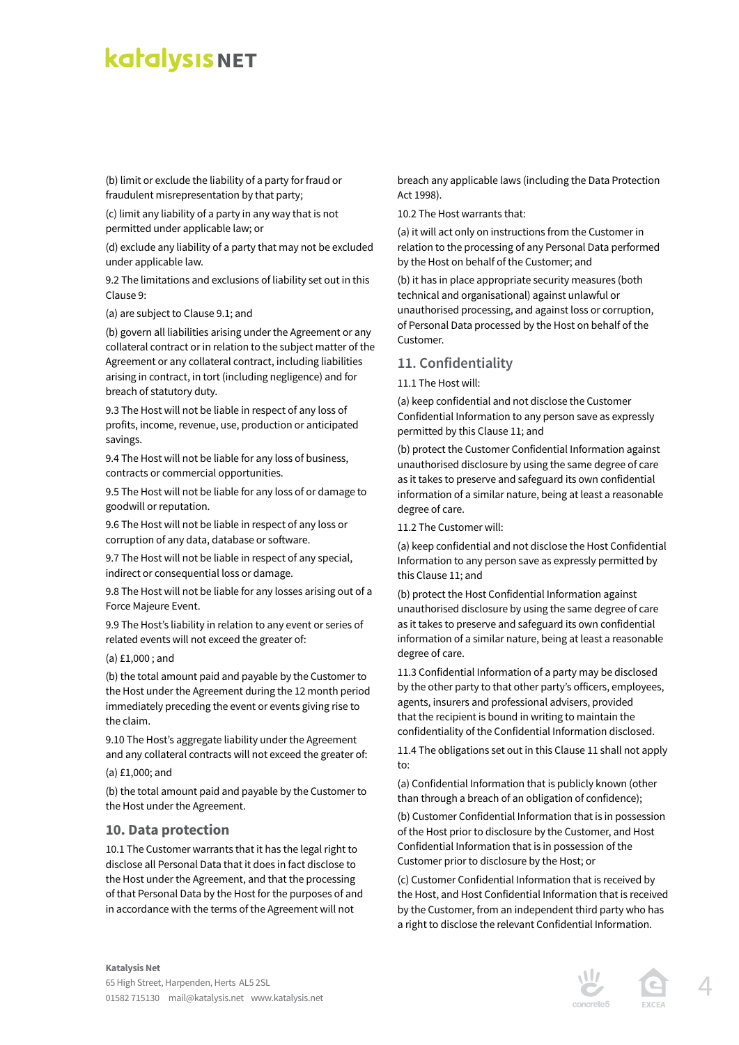(b) limit or exclude the liability of a party for fraud or fraudulent misrepresentation by that party;

(c) limit any liability of a party in any way that is not permitted under applicable law; or

(d) exclude any liability of a party that may not be excluded under applicable law.

9.2 The limitations and exclusions of liability set out in this Clause 9:

(a) are subject to Clause 9.1; and

(b) govern all liabilities arising under the Agreement or any collateral contract or in relation to the subject matter of the Agreement or any collateral contract, including liabilities arising in contract, in tort (including negligence) and for breach of statutory duty.

9.3 The Host will not be liable in respect of any loss of profits, income, revenue, use, production or anticipated savings.

9.4 The Host will not be liable for any loss of business, contracts or commercial opportunities.

9.5 The Host will not be liable for any loss of or damage to goodwill or reputation.

9.6 The Host will not be liable in respect of any loss or corruption of any data, database or software.

9.7 The Host will not be liable in respect of any special, indirect or consequential loss or damage.

9.8 The Host will not be liable for any losses arising out of a Force Majeure Event.

9.9 The Host's liability in relation to any event or series of related events will not exceed the greater of:

(a) £1,000 ; and

(b) the total amount paid and payable by the Customer to the Host under the Agreement during the 12 month period immediately preceding the event or events giving rise to the claim.

9.10 The Host's aggregate liability under the Agreement and any collateral contracts will not exceed the greater of:

(a) £1,000; and

(b) the total amount paid and payable by the Customer to the Host under the Agreement.

#### **10. Data protection**

10.1 The Customer warrants that it has the legal right to disclose all Personal Data that it does in fact disclose to the Host under the Agreement, and that the processing of that Personal Data by the Host for the purposes of and in accordance with the terms of the Agreement will not

breach any applicable laws (including the Data Protection Act 1998).

10.2 The Host warrants that:

(a) it will act only on instructions from the Customer in relation to the processing of any Personal Data performed by the Host on behalf of the Customer; and

(b) it has in place appropriate security measures (both technical and organisational) against unlawful or unauthorised processing, and against loss or corruption, of Personal Data processed by the Host on behalf of the Customer.

#### **11. Confidentiality**

11.1 The Host will:

(a) keep confidential and not disclose the Customer Confidential Information to any person save as expressly permitted by this Clause 11; and

(b) protect the Customer Confidential Information against unauthorised disclosure by using the same degree of care as it takes to preserve and safeguard its own confidential information of a similar nature, being at least a reasonable degree of care.

11.2 The Customer will:

(a) keep confidential and not disclose the Host Confidential Information to any person save as expressly permitted by this Clause 11; and

(b) protect the Host Confidential Information against unauthorised disclosure by using the same degree of care as it takes to preserve and safeguard its own confidential information of a similar nature, being at least a reasonable degree of care.

11.3 Confidential Information of a party may be disclosed by the other party to that other party's officers, employees, agents, insurers and professional advisers, provided that the recipient is bound in writing to maintain the confidentiality of the Confidential Information disclosed.

11.4 The obligations set out in this Clause 11 shall not apply to:

(a) Confidential Information that is publicly known (other than through a breach of an obligation of confidence);

(b) Customer Confidential Information that is in possession of the Host prior to disclosure by the Customer, and Host Confidential Information that is in possession of the Customer prior to disclosure by the Host; or

(c) Customer Confidential Information that is received by the Host, and Host Confidential Information that is received by the Customer, from an independent third party who has a right to disclose the relevant Confidential Information.



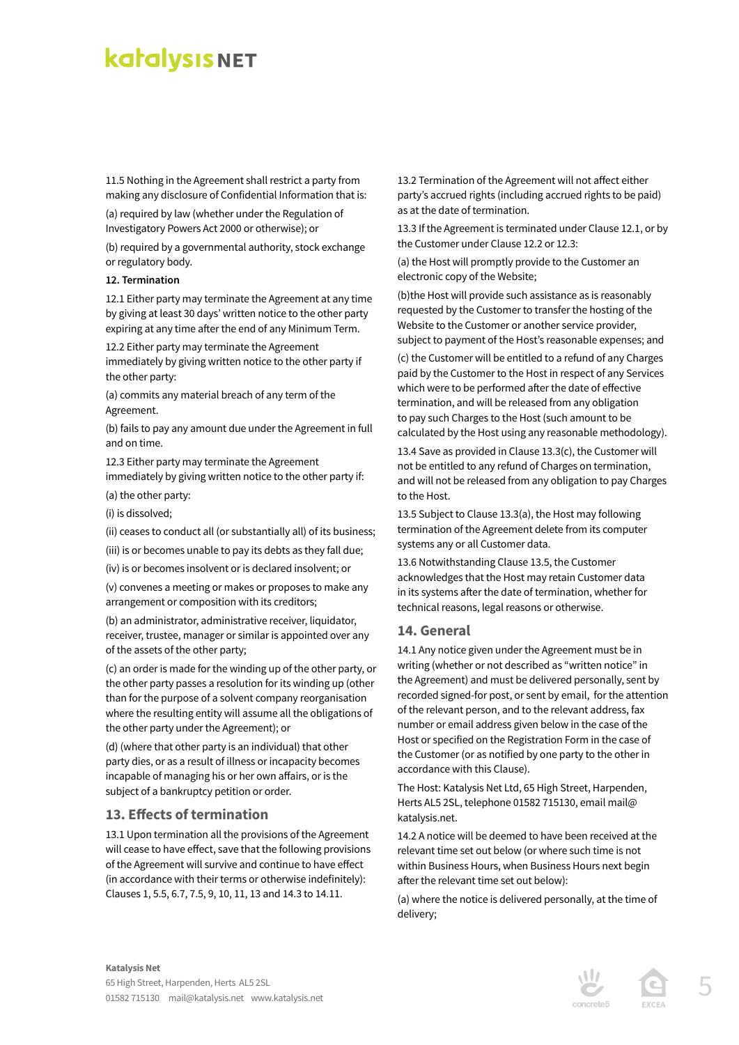11.5 Nothing in the Agreement shall restrict a party from making any disclosure of Confidential Information that is:

(a) required by law (whether under the Regulation of Investigatory Powers Act 2000 or otherwise); or

(b) required by a governmental authority, stock exchange or regulatory body.

#### **12. Termination**

12.1 Either party may terminate the Agreement at any time by giving at least 30 days' written notice to the other party expiring at any time after the end of any Minimum Term.

12.2 Either party may terminate the Agreement immediately by giving written notice to the other party if the other party:

(a) commits any material breach of any term of the Agreement.

(b) fails to pay any amount due under the Agreement in full and on time.

12.3 Either party may terminate the Agreement immediately by giving written notice to the other party if: (a) the other party:

(i) is dissolved;

(ii) ceases to conduct all (or substantially all) of its business;

(iii) is or becomes unable to pay its debts as they fall due;

(iv) is or becomes insolvent or is declared insolvent; or

(v) convenes a meeting or makes or proposes to make any arrangement or composition with its creditors;

(b) an administrator, administrative receiver, liquidator, receiver, trustee, manager or similar is appointed over any of the assets of the other party;

(c) an order is made for the winding up of the other party, or the other party passes a resolution for its winding up (other than for the purpose of a solvent company reorganisation where the resulting entity will assume all the obligations of the other party under the Agreement); or

(d) (where that other party is an individual) that other party dies, or as a result of illness or incapacity becomes incapable of managing his or her own affairs, or is the subject of a bankruptcy petition or order.

#### **13. Effects of termination**

13.1 Upon termination all the provisions of the Agreement will cease to have effect, save that the following provisions of the Agreement will survive and continue to have effect (in accordance with their terms or otherwise indefinitely): Clauses 1, 5.5, 6.7, 7.5, 9, 10, 11, 13 and 14.3 to 14.11.

13.2 Termination of the Agreement will not affect either party's accrued rights (including accrued rights to be paid) as at the date of termination.

13.3 If the Agreement is terminated under Clause 12.1, or by the Customer under Clause 12.2 or 12.3:

(a) the Host will promptly provide to the Customer an electronic copy of the Website;

(b)the Host will provide such assistance as is reasonably requested by the Customer to transfer the hosting of the Website to the Customer or another service provider, subject to payment of the Host's reasonable expenses; and

(c) the Customer will be entitled to a refund of any Charges paid by the Customer to the Host in respect of any Services which were to be performed after the date of effective termination, and will be released from any obligation to pay such Charges to the Host (such amount to be calculated by the Host using any reasonable methodology).

13.4 Save as provided in Clause 13.3(c), the Customer will not be entitled to any refund of Charges on termination, and will not be released from any obligation to pay Charges to the Host.

13.5 Subject to Clause 13.3(a), the Host may following termination of the Agreement delete from its computer systems any or all Customer data.

13.6 Notwithstanding Clause 13.5, the Customer acknowledges that the Host may retain Customer data in its systems after the date of termination, whether for technical reasons, legal reasons or otherwise.

#### **14. General**

14.1 Any notice given under the Agreement must be in writing (whether or not described as "written notice" in the Agreement) and must be delivered personally, sent by recorded signed-for post, or sent by email, for the attention of the relevant person, and to the relevant address, fax number or email address given below in the case of the Host or specified on the Registration Form in the case of the Customer (or as notified by one party to the other in accordance with this Clause).

The Host: Katalysis Net Ltd, 65 High Street, Harpenden, Herts AL5 2SL, telephone 01582 715130, email mail@ katalysis.net.

14.2 A notice will be deemed to have been received at the relevant time set out below (or where such time is not within Business Hours, when Business Hours next begin after the relevant time set out below):

(a) where the notice is delivered personally, at the time of delivery;



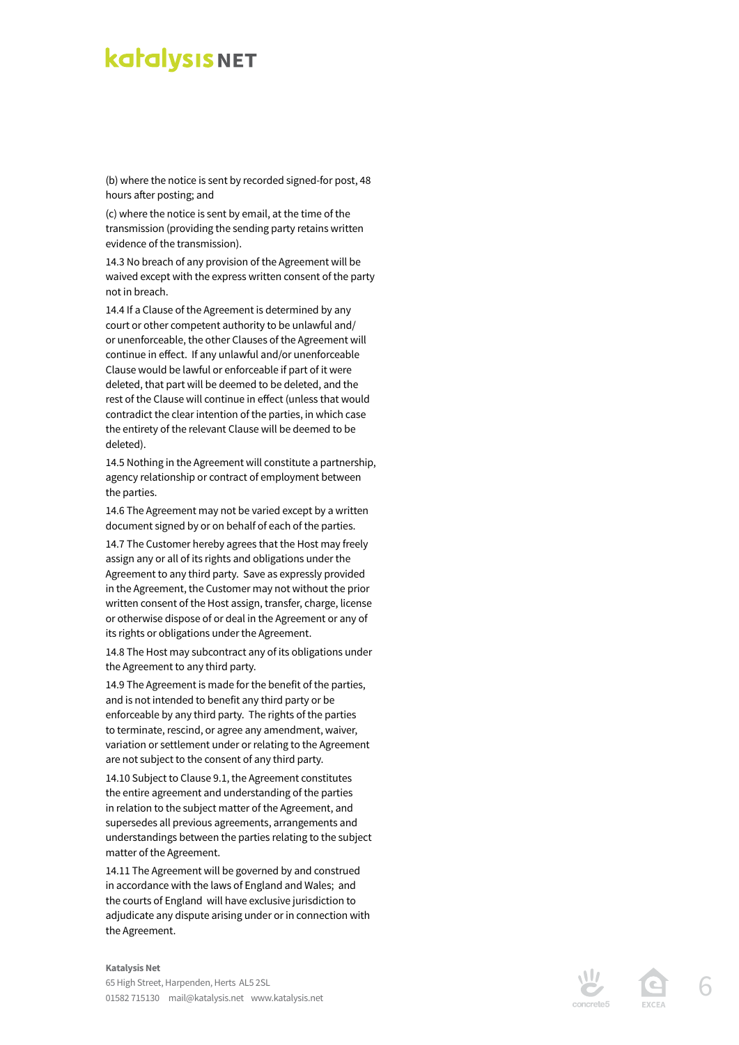(b) where the notice is sent by recorded signed-for post, 48 hours after posting; and

(c) where the notice is sent by email, at the time of the transmission (providing the sending party retains written evidence of the transmission).

14.3 No breach of any provision of the Agreement will be waived except with the express written consent of the party not in breach.

14.4 If a Clause of the Agreement is determined by any court or other competent authority to be unlawful and/ or unenforceable, the other Clauses of the Agreement will continue in effect. If any unlawful and/or unenforceable Clause would be lawful or enforceable if part of it were deleted, that part will be deemed to be deleted, and the rest of the Clause will continue in effect (unless that would contradict the clear intention of the parties, in which case the entirety of the relevant Clause will be deemed to be deleted).

14.5 Nothing in the Agreement will constitute a partnership, agency relationship or contract of employment between the parties.

14.6 The Agreement may not be varied except by a written document signed by or on behalf of each of the parties.

14.7 The Customer hereby agrees that the Host may freely assign any or all of its rights and obligations under the Agreement to any third party. Save as expressly provided in the Agreement, the Customer may not without the prior written consent of the Host assign, transfer, charge, license or otherwise dispose of or deal in the Agreement or any of its rights or obligations under the Agreement.

14.8 The Host may subcontract any of its obligations under the Agreement to any third party.

14.9 The Agreement is made for the benefit of the parties, and is not intended to benefit any third party or be enforceable by any third party. The rights of the parties to terminate, rescind, or agree any amendment, waiver, variation or settlement under or relating to the Agreement are not subject to the consent of any third party.

14.10 Subject to Clause 9.1, the Agreement constitutes the entire agreement and understanding of the parties in relation to the subject matter of the Agreement, and supersedes all previous agreements, arrangements and understandings between the parties relating to the subject matter of the Agreement.

14.11 The Agreement will be governed by and construed in accordance with the laws of England and Wales; and the courts of England will have exclusive jurisdiction to adjudicate any dispute arising under or in connection with the Agreement.

#### **Katalysis Net**

65 High Street, Harpenden, Herts AL5 2SL 01582 715130 mail@katalysis.net www.katalysis.net





6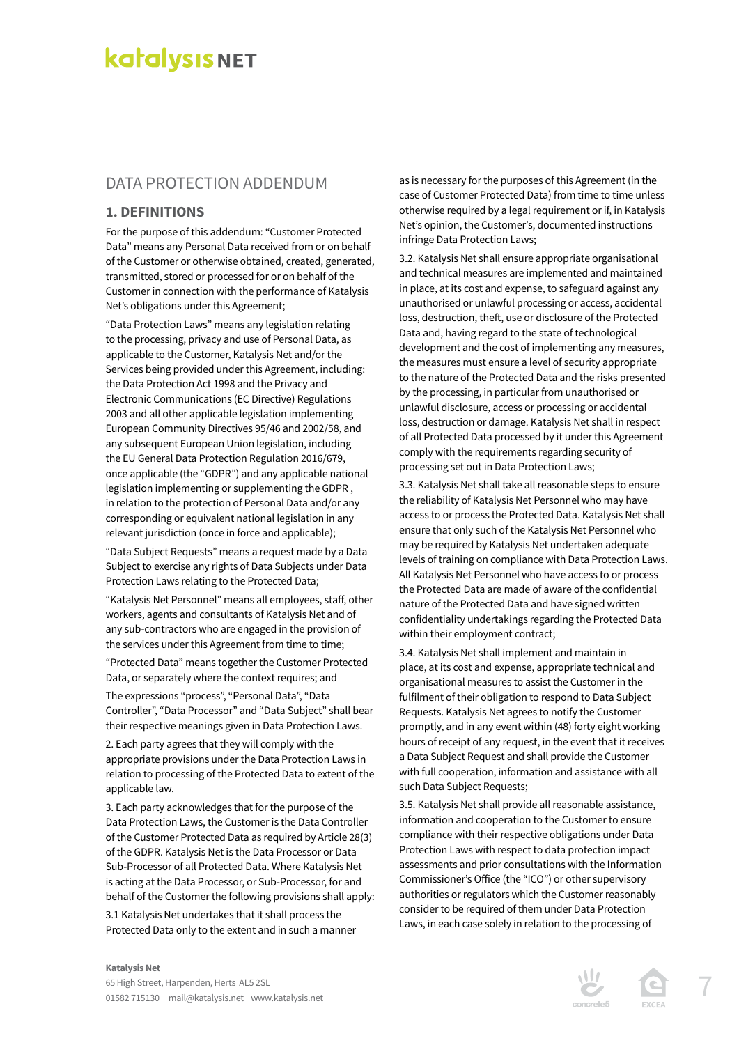### DATA PROTECTION ADDENDUM

#### **1. DEFINITIONS**

For the purpose of this addendum: "Customer Protected Data" means any Personal Data received from or on behalf of the Customer or otherwise obtained, created, generated, transmitted, stored or processed for or on behalf of the Customer in connection with the performance of Katalysis Net's obligations under this Agreement;

"Data Protection Laws" means any legislation relating to the processing, privacy and use of Personal Data, as applicable to the Customer, Katalysis Net and/or the Services being provided under this Agreement, including: the Data Protection Act 1998 and the Privacy and Electronic Communications (EC Directive) Regulations 2003 and all other applicable legislation implementing European Community Directives 95/46 and 2002/58, and any subsequent European Union legislation, including the EU General Data Protection Regulation 2016/679, once applicable (the "GDPR") and any applicable national legislation implementing or supplementing the GDPR , in relation to the protection of Personal Data and/or any corresponding or equivalent national legislation in any relevant jurisdiction (once in force and applicable);

"Data Subject Requests" means a request made by a Data Subject to exercise any rights of Data Subjects under Data Protection Laws relating to the Protected Data;

"Katalysis Net Personnel" means all employees, staff, other workers, agents and consultants of Katalysis Net and of any sub-contractors who are engaged in the provision of the services under this Agreement from time to time; "Protected Data" means together the Customer Protected Data, or separately where the context requires; and

The expressions "process", "Personal Data", "Data Controller", "Data Processor" and "Data Subject" shall bear their respective meanings given in Data Protection Laws.

2. Each party agrees that they will comply with the appropriate provisions under the Data Protection Laws in relation to processing of the Protected Data to extent of the applicable law.

3. Each party acknowledges that for the purpose of the Data Protection Laws, the Customer is the Data Controller of the Customer Protected Data as required by Article 28(3) of the GDPR. Katalysis Net is the Data Processor or Data Sub-Processor of all Protected Data. Where Katalysis Net is acting at the Data Processor, or Sub-Processor, for and behalf of the Customer the following provisions shall apply: 3.1 Katalysis Net undertakes that it shall process the Protected Data only to the extent and in such a manner

as is necessary for the purposes of this Agreement (in the case of Customer Protected Data) from time to time unless otherwise required by a legal requirement or if, in Katalysis Net's opinion, the Customer's, documented instructions infringe Data Protection Laws;

3.2. Katalysis Net shall ensure appropriate organisational and technical measures are implemented and maintained in place, at its cost and expense, to safeguard against any unauthorised or unlawful processing or access, accidental loss, destruction, theft, use or disclosure of the Protected Data and, having regard to the state of technological development and the cost of implementing any measures, the measures must ensure a level of security appropriate to the nature of the Protected Data and the risks presented by the processing, in particular from unauthorised or unlawful disclosure, access or processing or accidental loss, destruction or damage. Katalysis Net shall in respect of all Protected Data processed by it under this Agreement comply with the requirements regarding security of processing set out in Data Protection Laws;

3.3. Katalysis Net shall take all reasonable steps to ensure the reliability of Katalysis Net Personnel who may have access to or process the Protected Data. Katalysis Net shall ensure that only such of the Katalysis Net Personnel who may be required by Katalysis Net undertaken adequate levels of training on compliance with Data Protection Laws. All Katalysis Net Personnel who have access to or process the Protected Data are made of aware of the confidential nature of the Protected Data and have signed written confidentiality undertakings regarding the Protected Data within their employment contract;

3.4. Katalysis Net shall implement and maintain in place, at its cost and expense, appropriate technical and organisational measures to assist the Customer in the fulfilment of their obligation to respond to Data Subject Requests. Katalysis Net agrees to notify the Customer promptly, and in any event within (48) forty eight working hours of receipt of any request, in the event that it receives a Data Subject Request and shall provide the Customer with full cooperation, information and assistance with all such Data Subject Requests;

3.5. Katalysis Net shall provide all reasonable assistance, information and cooperation to the Customer to ensure compliance with their respective obligations under Data Protection Laws with respect to data protection impact assessments and prior consultations with the Information Commissioner's Office (the "ICO") or other supervisory authorities or regulators which the Customer reasonably consider to be required of them under Data Protection Laws, in each case solely in relation to the processing of





#### **Katalysis Net**